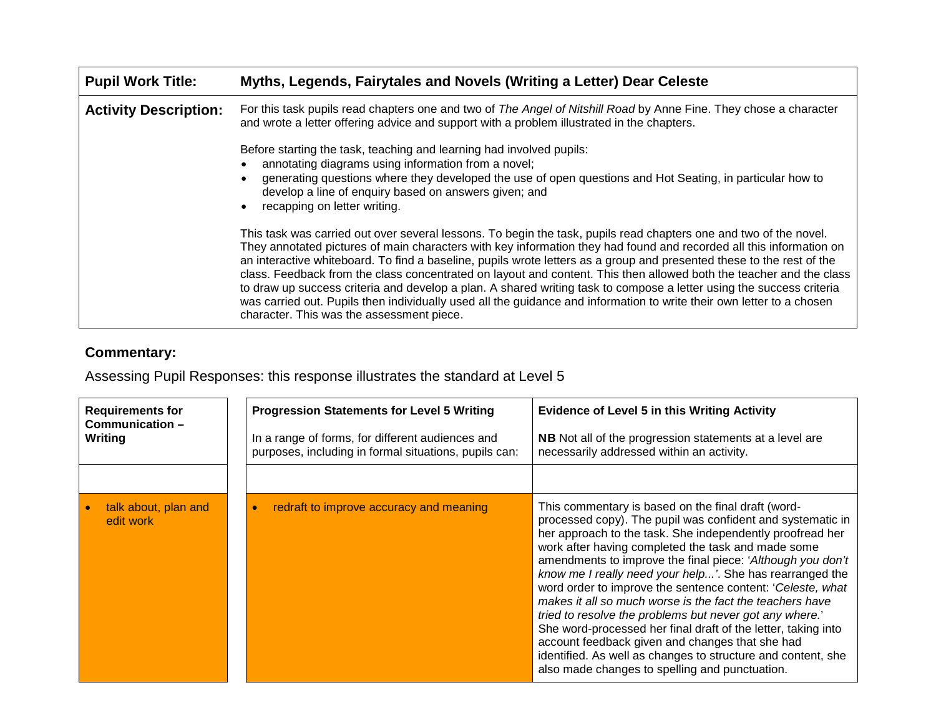| <b>Pupil Work Title:</b>     | Myths, Legends, Fairytales and Novels (Writing a Letter) Dear Celeste                                                                                                                                                                                                                                                                                                                                                                                                                                                                                                                                                                                                                                                                                                                  |  |  |
|------------------------------|----------------------------------------------------------------------------------------------------------------------------------------------------------------------------------------------------------------------------------------------------------------------------------------------------------------------------------------------------------------------------------------------------------------------------------------------------------------------------------------------------------------------------------------------------------------------------------------------------------------------------------------------------------------------------------------------------------------------------------------------------------------------------------------|--|--|
| <b>Activity Description:</b> | For this task pupils read chapters one and two of The Angel of Nitshill Road by Anne Fine. They chose a character<br>and wrote a letter offering advice and support with a problem illustrated in the chapters.                                                                                                                                                                                                                                                                                                                                                                                                                                                                                                                                                                        |  |  |
|                              | Before starting the task, teaching and learning had involved pupils:<br>annotating diagrams using information from a novel;<br>generating questions where they developed the use of open questions and Hot Seating, in particular how to<br>develop a line of enquiry based on answers given; and<br>recapping on letter writing.                                                                                                                                                                                                                                                                                                                                                                                                                                                      |  |  |
|                              | This task was carried out over several lessons. To begin the task, pupils read chapters one and two of the novel.<br>They annotated pictures of main characters with key information they had found and recorded all this information on<br>an interactive whiteboard. To find a baseline, pupils wrote letters as a group and presented these to the rest of the<br>class. Feedback from the class concentrated on layout and content. This then allowed both the teacher and the class<br>to draw up success criteria and develop a plan. A shared writing task to compose a letter using the success criteria<br>was carried out. Pupils then individually used all the guidance and information to write their own letter to a chosen<br>character. This was the assessment piece. |  |  |

## **Commentary:**

Assessing Pupil Responses: this response illustrates the standard at Level 5

| <b>Requirements for</b><br>Communication-<br>Writing | <b>Progression Statements for Level 5 Writing</b><br>In a range of forms, for different audiences and<br>purposes, including in formal situations, pupils can: | <b>Evidence of Level 5 in this Writing Activity</b><br>NB Not all of the progression statements at a level are<br>necessarily addressed within an activity.                                                                                                                                                                                                                                                                                                                                                                                                                                                                                                                                                                                                                              |  |
|------------------------------------------------------|----------------------------------------------------------------------------------------------------------------------------------------------------------------|------------------------------------------------------------------------------------------------------------------------------------------------------------------------------------------------------------------------------------------------------------------------------------------------------------------------------------------------------------------------------------------------------------------------------------------------------------------------------------------------------------------------------------------------------------------------------------------------------------------------------------------------------------------------------------------------------------------------------------------------------------------------------------------|--|
|                                                      |                                                                                                                                                                |                                                                                                                                                                                                                                                                                                                                                                                                                                                                                                                                                                                                                                                                                                                                                                                          |  |
| talk about, plan and<br>edit work                    | redraft to improve accuracy and meaning                                                                                                                        | This commentary is based on the final draft (word-<br>processed copy). The pupil was confident and systematic in<br>her approach to the task. She independently proofread her<br>work after having completed the task and made some<br>amendments to improve the final piece: 'Although you don't<br>know me I really need your help'. She has rearranged the<br>word order to improve the sentence content: 'Celeste, what<br>makes it all so much worse is the fact the teachers have<br>tried to resolve the problems but never got any where.'<br>She word-processed her final draft of the letter, taking into<br>account feedback given and changes that she had<br>identified. As well as changes to structure and content, she<br>also made changes to spelling and punctuation. |  |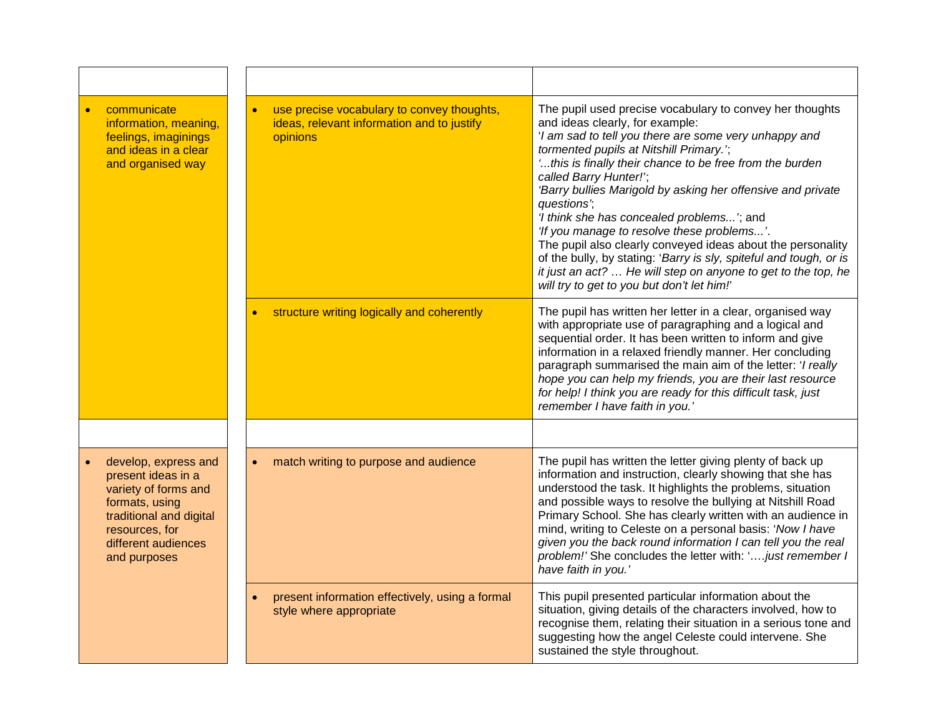| communicate<br>information, meaning,<br>feelings, imaginings<br>and ideas in a clear<br>and organised way                                                                | use precise vocabulary to convey thoughts,<br>ideas, relevant information and to justify<br>opinions | The pupil used precise vocabulary to convey her thoughts<br>and ideas clearly, for example:<br>'I am sad to tell you there are some very unhappy and<br>tormented pupils at Nitshill Primary.';<br>"this is finally their chance to be free from the burden<br>called Barry Hunter!';<br>'Barry bullies Marigold by asking her offensive and private<br>questions';<br>'I think she has concealed problems'; and<br>'If you manage to resolve these problems'.<br>The pupil also clearly conveyed ideas about the personality<br>of the bully, by stating: 'Barry is sly, spiteful and tough, or is<br>it just an act?  He will step on anyone to get to the top, he<br>will try to get to you but don't let him!" |
|--------------------------------------------------------------------------------------------------------------------------------------------------------------------------|------------------------------------------------------------------------------------------------------|--------------------------------------------------------------------------------------------------------------------------------------------------------------------------------------------------------------------------------------------------------------------------------------------------------------------------------------------------------------------------------------------------------------------------------------------------------------------------------------------------------------------------------------------------------------------------------------------------------------------------------------------------------------------------------------------------------------------|
|                                                                                                                                                                          | structure writing logically and coherently<br>$\bullet$                                              | The pupil has written her letter in a clear, organised way<br>with appropriate use of paragraphing and a logical and<br>sequential order. It has been written to inform and give<br>information in a relaxed friendly manner. Her concluding<br>paragraph summarised the main aim of the letter: 'I really<br>hope you can help my friends, you are their last resource<br>for help! I think you are ready for this difficult task, just<br>remember I have faith in you.'                                                                                                                                                                                                                                         |
|                                                                                                                                                                          |                                                                                                      |                                                                                                                                                                                                                                                                                                                                                                                                                                                                                                                                                                                                                                                                                                                    |
| develop, express and<br>present ideas in a<br>variety of forms and<br>formats, using<br>traditional and digital<br>resources, for<br>different audiences<br>and purposes | match writing to purpose and audience<br>$\bullet$                                                   | The pupil has written the letter giving plenty of back up<br>information and instruction, clearly showing that she has<br>understood the task. It highlights the problems, situation<br>and possible ways to resolve the bullying at Nitshill Road<br>Primary School. She has clearly written with an audience in<br>mind, writing to Celeste on a personal basis: 'Now I have<br>given you the back round information I can tell you the real<br>problem!' She concludes the letter with: 'just remember I<br>have faith in you.'                                                                                                                                                                                 |
|                                                                                                                                                                          | present information effectively, using a formal<br>style where appropriate                           | This pupil presented particular information about the<br>situation, giving details of the characters involved, how to<br>recognise them, relating their situation in a serious tone and<br>suggesting how the angel Celeste could intervene. She<br>sustained the style throughout.                                                                                                                                                                                                                                                                                                                                                                                                                                |